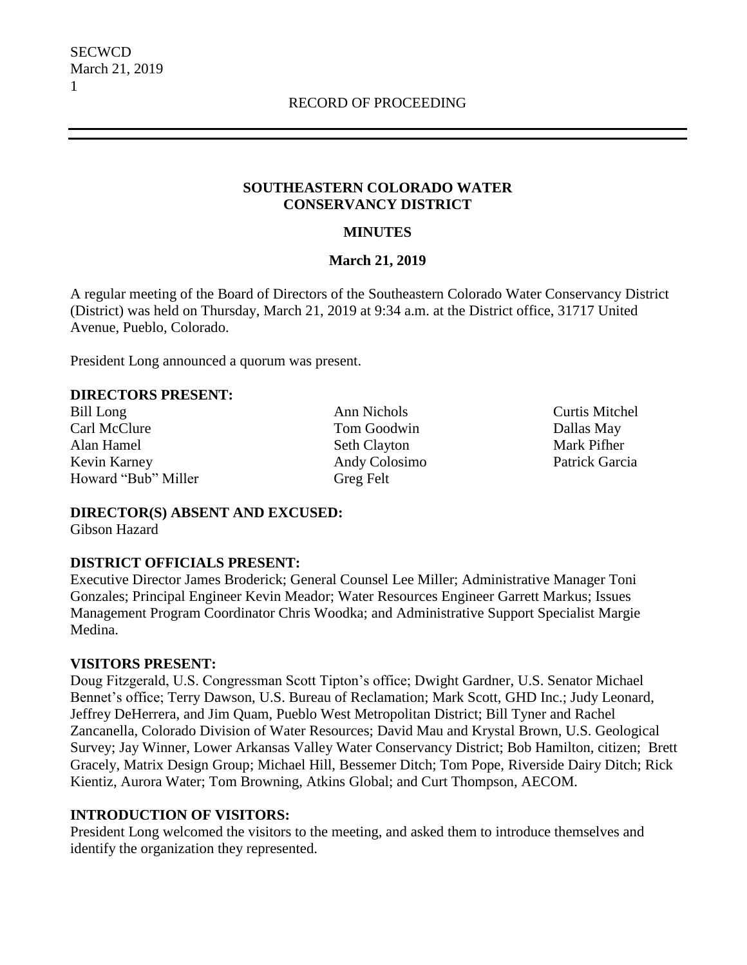#### **SOUTHEASTERN COLORADO WATER CONSERVANCY DISTRICT**

#### **MINUTES**

#### **March 21, 2019**

A regular meeting of the Board of Directors of the Southeastern Colorado Water Conservancy District (District) was held on Thursday, March 21, 2019 at 9:34 a.m. at the District office, 31717 United Avenue, Pueblo, Colorado.

President Long announced a quorum was present.

#### **DIRECTORS PRESENT:**

Bill Long Ann Nichols Curtis Mitchel Carl McClure Tom Goodwin Dallas May Alan Hamel Seth Clayton Mark Pifher Kevin Karney Andy Colosimo Patrick Garcia Howard "Bub" Miller Greg Felt

**DIRECTOR(S) ABSENT AND EXCUSED:** Gibson Hazard

# **DISTRICT OFFICIALS PRESENT:**

Executive Director James Broderick; General Counsel Lee Miller; Administrative Manager Toni Gonzales; Principal Engineer Kevin Meador; Water Resources Engineer Garrett Markus; Issues Management Program Coordinator Chris Woodka; and Administrative Support Specialist Margie Medina.

#### **VISITORS PRESENT:**

Doug Fitzgerald, U.S. Congressman Scott Tipton's office; Dwight Gardner, U.S. Senator Michael Bennet's office; Terry Dawson, U.S. Bureau of Reclamation; Mark Scott, GHD Inc.; Judy Leonard, Jeffrey DeHerrera, and Jim Quam, Pueblo West Metropolitan District; Bill Tyner and Rachel Zancanella, Colorado Division of Water Resources; David Mau and Krystal Brown, U.S. Geological Survey; Jay Winner, Lower Arkansas Valley Water Conservancy District; Bob Hamilton, citizen; Brett Gracely, Matrix Design Group; Michael Hill, Bessemer Ditch; Tom Pope, Riverside Dairy Ditch; Rick Kientiz, Aurora Water; Tom Browning, Atkins Global; and Curt Thompson, AECOM.

#### **INTRODUCTION OF VISITORS:**

President Long welcomed the visitors to the meeting, and asked them to introduce themselves and identify the organization they represented.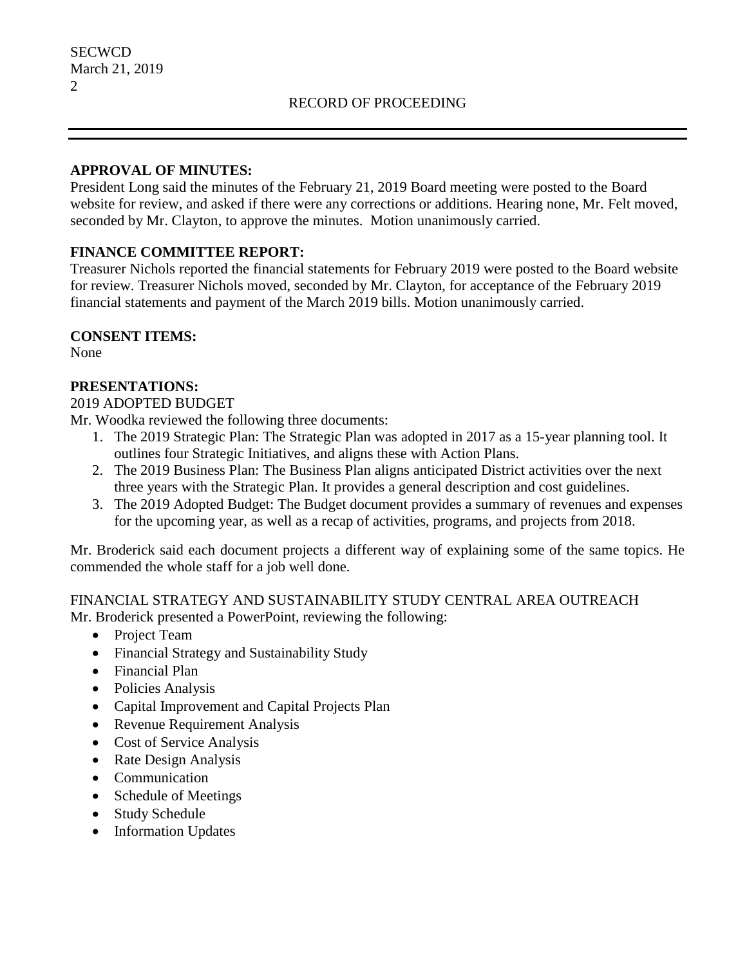#### **APPROVAL OF MINUTES:**

President Long said the minutes of the February 21, 2019 Board meeting were posted to the Board website for review, and asked if there were any corrections or additions. Hearing none, Mr. Felt moved, seconded by Mr. Clayton, to approve the minutes. Motion unanimously carried.

# **FINANCE COMMITTEE REPORT:**

Treasurer Nichols reported the financial statements for February 2019 were posted to the Board website for review. Treasurer Nichols moved, seconded by Mr. Clayton, for acceptance of the February 2019 financial statements and payment of the March 2019 bills. Motion unanimously carried.

### **CONSENT ITEMS:**

None

# **PRESENTATIONS:**

### 2019 ADOPTED BUDGET

Mr. Woodka reviewed the following three documents:

- 1. The 2019 Strategic Plan: The Strategic Plan was adopted in 2017 as a 15-year planning tool. It outlines four Strategic Initiatives, and aligns these with Action Plans.
- 2. The 2019 Business Plan: The Business Plan aligns anticipated District activities over the next three years with the Strategic Plan. It provides a general description and cost guidelines.
- 3. The 2019 Adopted Budget: The Budget document provides a summary of revenues and expenses for the upcoming year, as well as a recap of activities, programs, and projects from 2018.

Mr. Broderick said each document projects a different way of explaining some of the same topics. He commended the whole staff for a job well done.

#### FINANCIAL STRATEGY AND SUSTAINABILITY STUDY CENTRAL AREA OUTREACH Mr. Broderick presented a PowerPoint, reviewing the following:

- Project Team
- Financial Strategy and Sustainability Study
- Financial Plan
- Policies Analysis
- Capital Improvement and Capital Projects Plan
- Revenue Requirement Analysis
- Cost of Service Analysis
- Rate Design Analysis
- Communication
- Schedule of Meetings
- Study Schedule
- Information Updates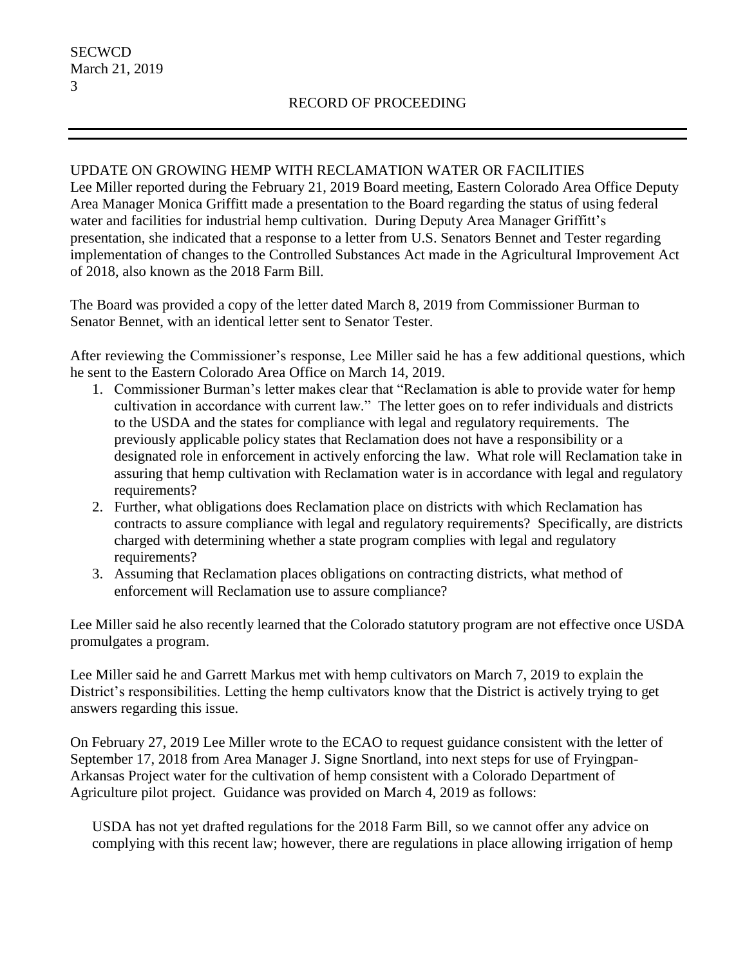### UPDATE ON GROWING HEMP WITH RECLAMATION WATER OR FACILITIES

Lee Miller reported during the February 21, 2019 Board meeting, Eastern Colorado Area Office Deputy Area Manager Monica Griffitt made a presentation to the Board regarding the status of using federal water and facilities for industrial hemp cultivation. During Deputy Area Manager Griffitt's presentation, she indicated that a response to a letter from U.S. Senators Bennet and Tester regarding implementation of changes to the Controlled Substances Act made in the Agricultural Improvement Act of 2018, also known as the 2018 Farm Bill.

The Board was provided a copy of the letter dated March 8, 2019 from Commissioner Burman to Senator Bennet, with an identical letter sent to Senator Tester.

After reviewing the Commissioner's response, Lee Miller said he has a few additional questions, which he sent to the Eastern Colorado Area Office on March 14, 2019.

- 1. Commissioner Burman's letter makes clear that "Reclamation is able to provide water for hemp cultivation in accordance with current law." The letter goes on to refer individuals and districts to the USDA and the states for compliance with legal and regulatory requirements. The previously applicable policy states that Reclamation does not have a responsibility or a designated role in enforcement in actively enforcing the law. What role will Reclamation take in assuring that hemp cultivation with Reclamation water is in accordance with legal and regulatory requirements?
- 2. Further, what obligations does Reclamation place on districts with which Reclamation has contracts to assure compliance with legal and regulatory requirements? Specifically, are districts charged with determining whether a state program complies with legal and regulatory requirements?
- 3. Assuming that Reclamation places obligations on contracting districts, what method of enforcement will Reclamation use to assure compliance?

Lee Miller said he also recently learned that the Colorado statutory program are not effective once USDA promulgates a program.

Lee Miller said he and Garrett Markus met with hemp cultivators on March 7, 2019 to explain the District's responsibilities. Letting the hemp cultivators know that the District is actively trying to get answers regarding this issue.

On February 27, 2019 Lee Miller wrote to the ECAO to request guidance consistent with the letter of September 17, 2018 from Area Manager J. Signe Snortland, into next steps for use of Fryingpan-Arkansas Project water for the cultivation of hemp consistent with a Colorado Department of Agriculture pilot project. Guidance was provided on March 4, 2019 as follows:

USDA has not yet drafted regulations for the 2018 Farm Bill, so we cannot offer any advice on complying with this recent law; however, there are regulations in place allowing irrigation of hemp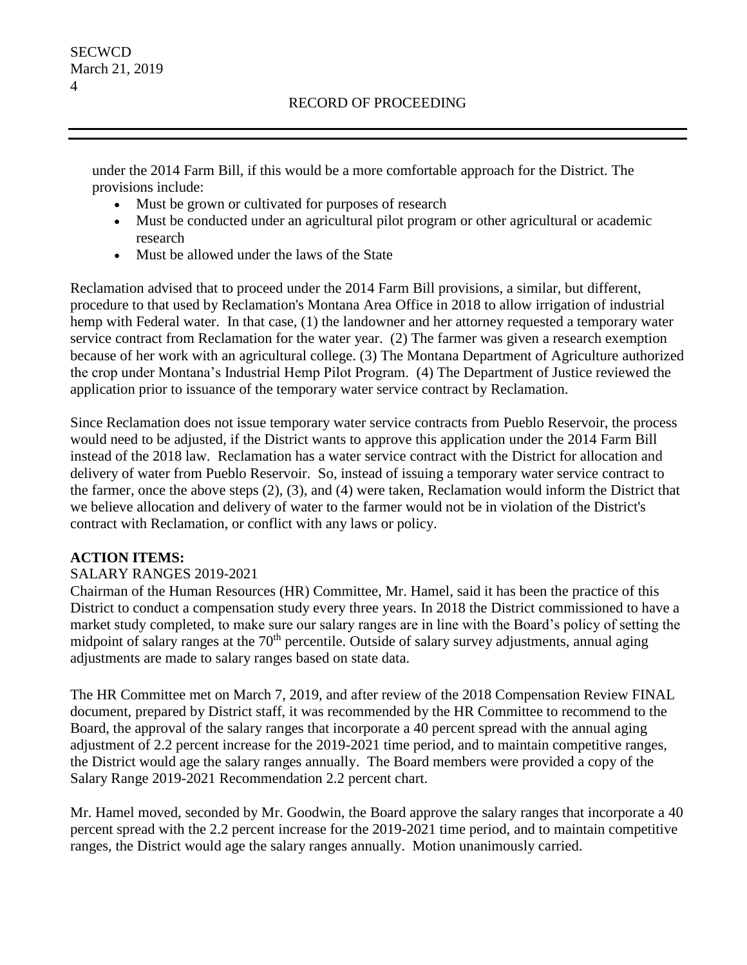under the 2014 Farm Bill, if this would be a more comfortable approach for the District. The provisions include:

- Must be grown or cultivated for purposes of research
- Must be conducted under an agricultural pilot program or other agricultural or academic research
- Must be allowed under the laws of the State

Reclamation advised that to proceed under the 2014 Farm Bill provisions, a similar, but different, procedure to that used by Reclamation's Montana Area Office in 2018 to allow irrigation of industrial hemp with Federal water. In that case, (1) the landowner and her attorney requested a temporary water service contract from Reclamation for the water year. (2) The farmer was given a research exemption because of her work with an agricultural college. (3) The Montana Department of Agriculture authorized the crop under Montana's Industrial Hemp Pilot Program. (4) The Department of Justice reviewed the application prior to issuance of the temporary water service contract by Reclamation.

Since Reclamation does not issue temporary water service contracts from Pueblo Reservoir, the process would need to be adjusted, if the District wants to approve this application under the 2014 Farm Bill instead of the 2018 law. Reclamation has a water service contract with the District for allocation and delivery of water from Pueblo Reservoir. So, instead of issuing a temporary water service contract to the farmer, once the above steps (2), (3), and (4) were taken, Reclamation would inform the District that we believe allocation and delivery of water to the farmer would not be in violation of the District's contract with Reclamation, or conflict with any laws or policy.

# **ACTION ITEMS:**

# SALARY RANGES 2019-2021

Chairman of the Human Resources (HR) Committee, Mr. Hamel, said it has been the practice of this District to conduct a compensation study every three years. In 2018 the District commissioned to have a market study completed, to make sure our salary ranges are in line with the Board's policy of setting the midpoint of salary ranges at the 70<sup>th</sup> percentile. Outside of salary survey adjustments, annual aging adjustments are made to salary ranges based on state data.

The HR Committee met on March 7, 2019, and after review of the 2018 Compensation Review FINAL document, prepared by District staff, it was recommended by the HR Committee to recommend to the Board, the approval of the salary ranges that incorporate a 40 percent spread with the annual aging adjustment of 2.2 percent increase for the 2019-2021 time period, and to maintain competitive ranges, the District would age the salary ranges annually. The Board members were provided a copy of the Salary Range 2019-2021 Recommendation 2.2 percent chart.

Mr. Hamel moved, seconded by Mr. Goodwin, the Board approve the salary ranges that incorporate a 40 percent spread with the 2.2 percent increase for the 2019-2021 time period, and to maintain competitive ranges, the District would age the salary ranges annually. Motion unanimously carried.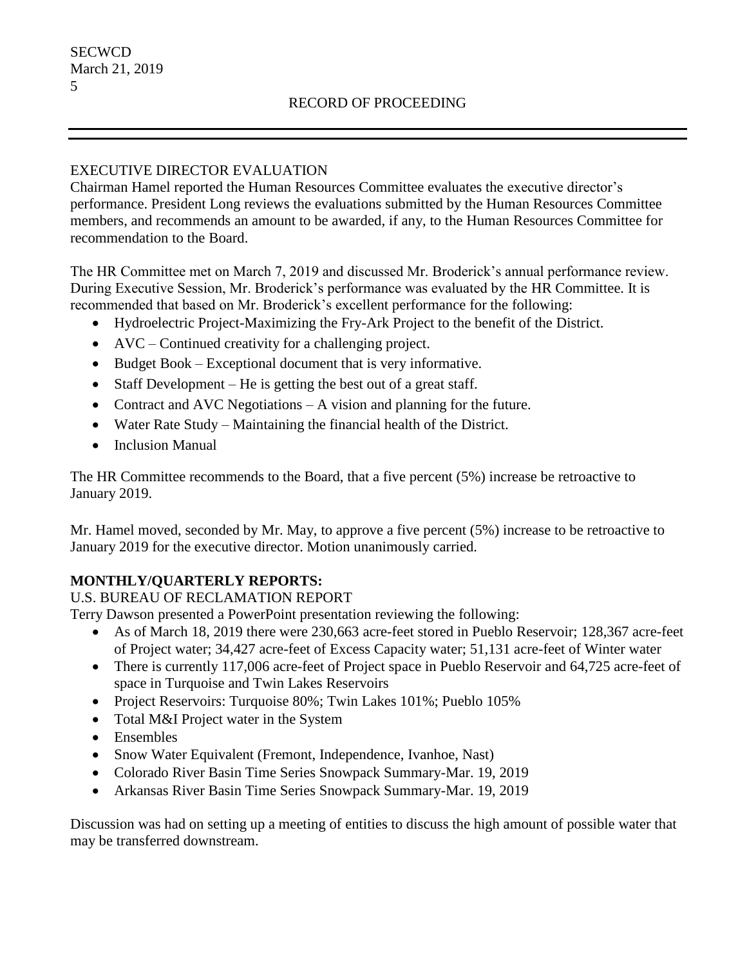### EXECUTIVE DIRECTOR EVALUATION

Chairman Hamel reported the Human Resources Committee evaluates the executive director's performance. President Long reviews the evaluations submitted by the Human Resources Committee members, and recommends an amount to be awarded, if any, to the Human Resources Committee for recommendation to the Board.

The HR Committee met on March 7, 2019 and discussed Mr. Broderick's annual performance review. During Executive Session, Mr. Broderick's performance was evaluated by the HR Committee. It is recommended that based on Mr. Broderick's excellent performance for the following:

- Hydroelectric Project-Maximizing the Fry-Ark Project to the benefit of the District.
- AVC Continued creativity for a challenging project.
- Budget Book Exceptional document that is very informative.
- Staff Development He is getting the best out of a great staff.
- Contract and AVC Negotiations A vision and planning for the future.
- Water Rate Study Maintaining the financial health of the District.
- Inclusion Manual

The HR Committee recommends to the Board, that a five percent (5%) increase be retroactive to January 2019.

Mr. Hamel moved, seconded by Mr. May, to approve a five percent (5%) increase to be retroactive to January 2019 for the executive director. Motion unanimously carried.

# **MONTHLY/QUARTERLY REPORTS:**

U.S. BUREAU OF RECLAMATION REPORT

Terry Dawson presented a PowerPoint presentation reviewing the following:

- As of March 18, 2019 there were 230,663 acre-feet stored in Pueblo Reservoir; 128,367 acre-feet of Project water; 34,427 acre-feet of Excess Capacity water; 51,131 acre-feet of Winter water
- There is currently 117,006 acre-feet of Project space in Pueblo Reservoir and 64,725 acre-feet of space in Turquoise and Twin Lakes Reservoirs
- Project Reservoirs: Turquoise 80%; Twin Lakes 101%; Pueblo 105%
- Total M&I Project water in the System
- Ensembles
- Snow Water Equivalent (Fremont, Independence, Ivanhoe, Nast)
- Colorado River Basin Time Series Snowpack Summary-Mar. 19, 2019
- Arkansas River Basin Time Series Snowpack Summary-Mar. 19, 2019

Discussion was had on setting up a meeting of entities to discuss the high amount of possible water that may be transferred downstream.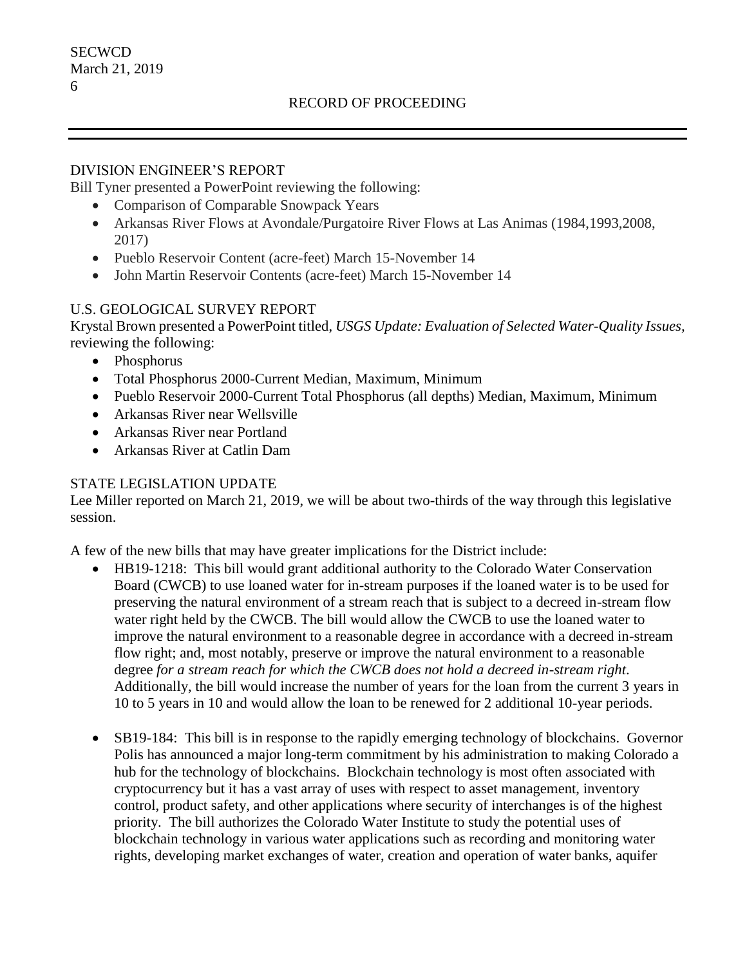### RECORD OF PROCEEDING

#### DIVISION ENGINEER'S REPORT

Bill Tyner presented a PowerPoint reviewing the following:

- Comparison of Comparable Snowpack Years
- Arkansas River Flows at Avondale/Purgatoire River Flows at Las Animas (1984,1993,2008, 2017)
- Pueblo Reservoir Content (acre-feet) March 15-November 14
- John Martin Reservoir Contents (acre-feet) March 15-November 14

### U.S. GEOLOGICAL SURVEY REPORT

Krystal Brown presented a PowerPoint titled, *USGS Update: Evaluation of Selected Water-Quality Issues,*  reviewing the following:

- Phosphorus
- Total Phosphorus 2000-Current Median, Maximum, Minimum
- Pueblo Reservoir 2000-Current Total Phosphorus (all depths) Median, Maximum, Minimum
- Arkansas River near Wellsville
- Arkansas River near Portland
- Arkansas River at Catlin Dam

#### STATE LEGISLATION UPDATE

Lee Miller reported on March 21, 2019, we will be about two-thirds of the way through this legislative session.

A few of the new bills that may have greater implications for the District include:

- HB19-1218: This bill would grant additional authority to the Colorado Water Conservation Board (CWCB) to use loaned water for in-stream purposes if the loaned water is to be used for preserving the natural environment of a stream reach that is subject to a decreed in-stream flow water right held by the CWCB. The bill would allow the CWCB to use the loaned water to improve the natural environment to a reasonable degree in accordance with a decreed in-stream flow right; and, most notably, preserve or improve the natural environment to a reasonable degree *for a stream reach for which the CWCB does not hold a decreed in-stream right*. Additionally, the bill would increase the number of years for the loan from the current 3 years in 10 to 5 years in 10 and would allow the loan to be renewed for 2 additional 10-year periods.
- SB19-184: This bill is in response to the rapidly emerging technology of blockchains. Governor Polis has announced a major long-term commitment by his administration to making Colorado a hub for the technology of blockchains. Blockchain technology is most often associated with cryptocurrency but it has a vast array of uses with respect to asset management, inventory control, product safety, and other applications where security of interchanges is of the highest priority. The bill authorizes the Colorado Water Institute to study the potential uses of blockchain technology in various water applications such as recording and monitoring water rights, developing market exchanges of water, creation and operation of water banks, aquifer